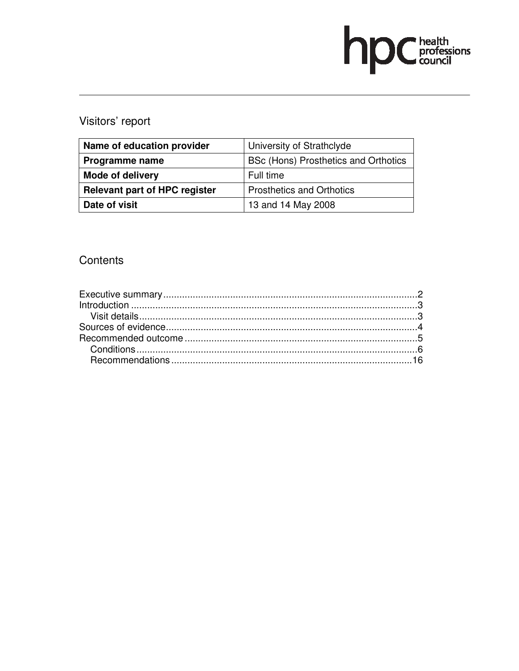# hp Chealth

# Visitors' report

| Name of education provider           | University of Strathclyde            |
|--------------------------------------|--------------------------------------|
| <b>Programme name</b>                | BSc (Hons) Prosthetics and Orthotics |
| <b>Mode of delivery</b>              | Full time                            |
| <b>Relevant part of HPC register</b> | <b>Prosthetics and Orthotics</b>     |
| Date of visit                        | 13 and 14 May 2008                   |

# **Contents**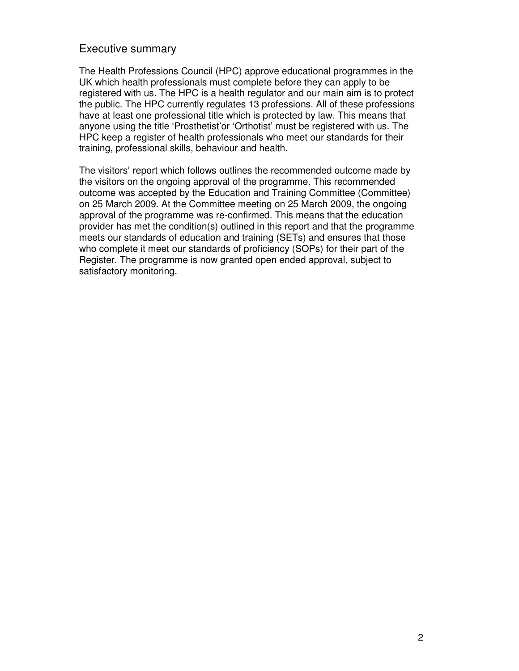#### Executive summary

The Health Professions Council (HPC) approve educational programmes in the UK which health professionals must complete before they can apply to be registered with us. The HPC is a health regulator and our main aim is to protect the public. The HPC currently regulates 13 professions. All of these professions have at least one professional title which is protected by law. This means that anyone using the title 'Prosthetist'or 'Orthotist' must be registered with us. The HPC keep a register of health professionals who meet our standards for their training, professional skills, behaviour and health.

The visitors' report which follows outlines the recommended outcome made by the visitors on the ongoing approval of the programme. This recommended outcome was accepted by the Education and Training Committee (Committee) on 25 March 2009. At the Committee meeting on 25 March 2009, the ongoing approval of the programme was re-confirmed. This means that the education provider has met the condition(s) outlined in this report and that the programme meets our standards of education and training (SETs) and ensures that those who complete it meet our standards of proficiency (SOPs) for their part of the Register. The programme is now granted open ended approval, subject to satisfactory monitoring.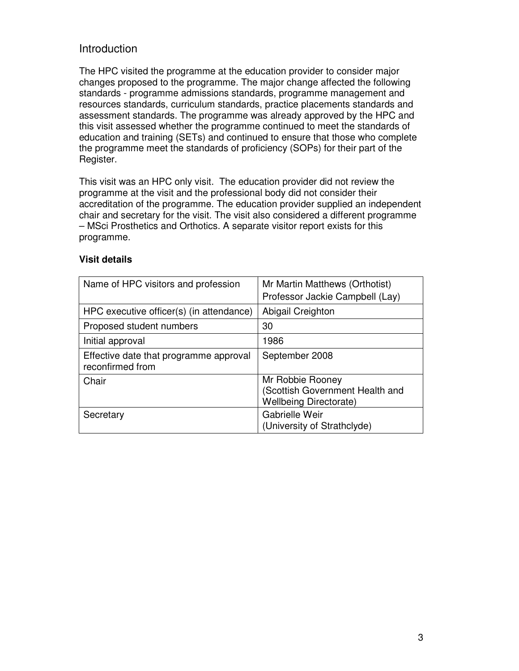## Introduction

The HPC visited the programme at the education provider to consider major changes proposed to the programme. The major change affected the following standards - programme admissions standards, programme management and resources standards, curriculum standards, practice placements standards and assessment standards. The programme was already approved by the HPC and this visit assessed whether the programme continued to meet the standards of education and training (SETs) and continued to ensure that those who complete the programme meet the standards of proficiency (SOPs) for their part of the Register.

This visit was an HPC only visit. The education provider did not review the programme at the visit and the professional body did not consider their accreditation of the programme. The education provider supplied an independent chair and secretary for the visit. The visit also considered a different programme – MSci Prosthetics and Orthotics. A separate visitor report exists for this programme.

| Name of HPC visitors and profession                        | Mr Martin Matthews (Orthotist)<br>Professor Jackie Campbell (Lay)                    |
|------------------------------------------------------------|--------------------------------------------------------------------------------------|
| HPC executive officer(s) (in attendance)                   | Abigail Creighton                                                                    |
| Proposed student numbers                                   | 30                                                                                   |
| Initial approval                                           | 1986                                                                                 |
| Effective date that programme approval<br>reconfirmed from | September 2008                                                                       |
| Chair                                                      | Mr Robbie Rooney<br>(Scottish Government Health and<br><b>Wellbeing Directorate)</b> |
| Secretary                                                  | Gabrielle Weir<br>(University of Strathclyde)                                        |

#### **Visit details**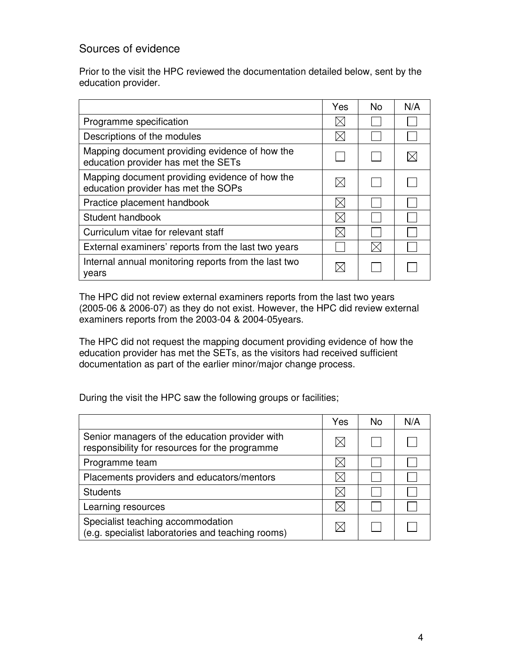## Sources of evidence

Prior to the visit the HPC reviewed the documentation detailed below, sent by the education provider.

|                                                                                       | Yes | No. | N/A |
|---------------------------------------------------------------------------------------|-----|-----|-----|
| Programme specification                                                               |     |     |     |
| Descriptions of the modules                                                           |     |     |     |
| Mapping document providing evidence of how the<br>education provider has met the SETs |     |     |     |
| Mapping document providing evidence of how the<br>education provider has met the SOPs |     |     |     |
| Practice placement handbook                                                           |     |     |     |
| Student handbook                                                                      | IX  |     |     |
| Curriculum vitae for relevant staff                                                   |     |     |     |
| External examiners' reports from the last two years                                   |     |     |     |
| Internal annual monitoring reports from the last two<br>years                         |     |     |     |

The HPC did not review external examiners reports from the last two years (2005-06 & 2006-07) as they do not exist. However, the HPC did review external examiners reports from the 2003-04 & 2004-05years.

The HPC did not request the mapping document providing evidence of how the education provider has met the SETs, as the visitors had received sufficient documentation as part of the earlier minor/major change process.

During the visit the HPC saw the following groups or facilities;

|                                                                                                  | Yes | No. | N/A |
|--------------------------------------------------------------------------------------------------|-----|-----|-----|
| Senior managers of the education provider with<br>responsibility for resources for the programme |     |     |     |
| Programme team                                                                                   |     |     |     |
| Placements providers and educators/mentors                                                       |     |     |     |
| <b>Students</b>                                                                                  |     |     |     |
| Learning resources                                                                               |     |     |     |
| Specialist teaching accommodation<br>(e.g. specialist laboratories and teaching rooms)           |     |     |     |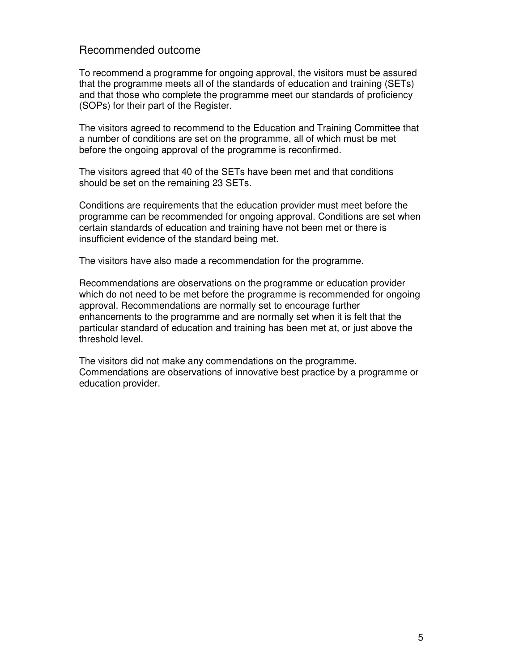#### Recommended outcome

To recommend a programme for ongoing approval, the visitors must be assured that the programme meets all of the standards of education and training (SETs) and that those who complete the programme meet our standards of proficiency (SOPs) for their part of the Register.

The visitors agreed to recommend to the Education and Training Committee that a number of conditions are set on the programme, all of which must be met before the ongoing approval of the programme is reconfirmed.

The visitors agreed that 40 of the SETs have been met and that conditions should be set on the remaining 23 SETs.

Conditions are requirements that the education provider must meet before the programme can be recommended for ongoing approval. Conditions are set when certain standards of education and training have not been met or there is insufficient evidence of the standard being met.

The visitors have also made a recommendation for the programme.

Recommendations are observations on the programme or education provider which do not need to be met before the programme is recommended for ongoing approval. Recommendations are normally set to encourage further enhancements to the programme and are normally set when it is felt that the particular standard of education and training has been met at, or just above the threshold level.

The visitors did not make any commendations on the programme. Commendations are observations of innovative best practice by a programme or education provider.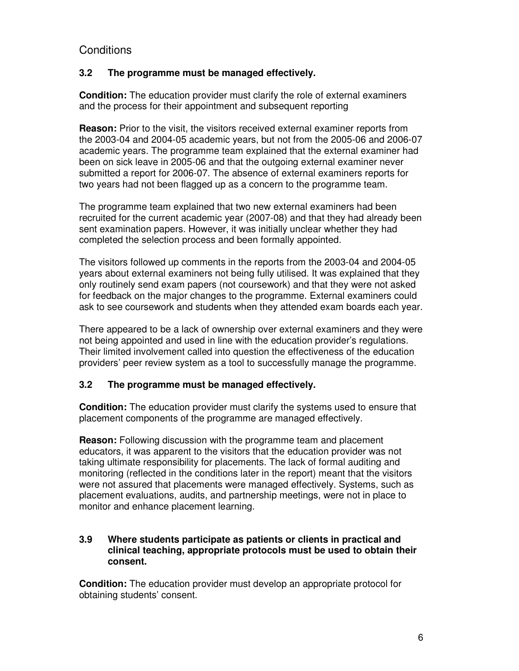# **Conditions**

#### **3.2 The programme must be managed effectively.**

**Condition:** The education provider must clarify the role of external examiners and the process for their appointment and subsequent reporting

**Reason:** Prior to the visit, the visitors received external examiner reports from the 2003-04 and 2004-05 academic years, but not from the 2005-06 and 2006-07 academic years. The programme team explained that the external examiner had been on sick leave in 2005-06 and that the outgoing external examiner never submitted a report for 2006-07. The absence of external examiners reports for two years had not been flagged up as a concern to the programme team.

The programme team explained that two new external examiners had been recruited for the current academic year (2007-08) and that they had already been sent examination papers. However, it was initially unclear whether they had completed the selection process and been formally appointed.

The visitors followed up comments in the reports from the 2003-04 and 2004-05 years about external examiners not being fully utilised. It was explained that they only routinely send exam papers (not coursework) and that they were not asked for feedback on the major changes to the programme. External examiners could ask to see coursework and students when they attended exam boards each year.

There appeared to be a lack of ownership over external examiners and they were not being appointed and used in line with the education provider's regulations. Their limited involvement called into question the effectiveness of the education providers' peer review system as a tool to successfully manage the programme.

#### **3.2 The programme must be managed effectively.**

**Condition:** The education provider must clarify the systems used to ensure that placement components of the programme are managed effectively.

**Reason:** Following discussion with the programme team and placement educators, it was apparent to the visitors that the education provider was not taking ultimate responsibility for placements. The lack of formal auditing and monitoring (reflected in the conditions later in the report) meant that the visitors were not assured that placements were managed effectively. Systems, such as placement evaluations, audits, and partnership meetings, were not in place to monitor and enhance placement learning.

#### **3.9 Where students participate as patients or clients in practical and clinical teaching, appropriate protocols must be used to obtain their consent.**

**Condition:** The education provider must develop an appropriate protocol for obtaining students' consent.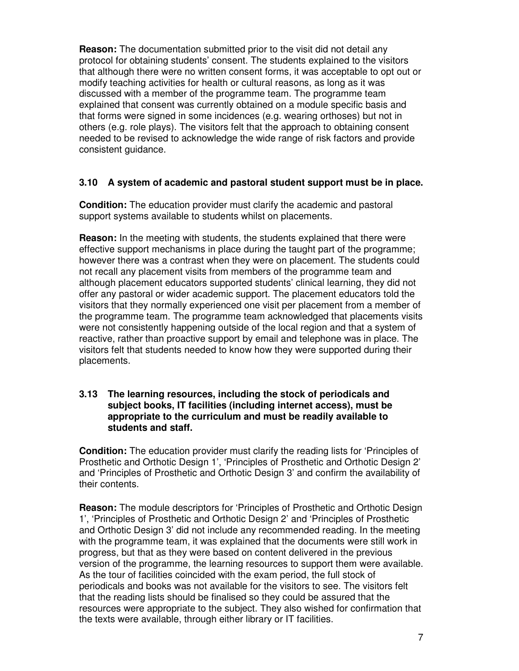**Reason:** The documentation submitted prior to the visit did not detail any protocol for obtaining students' consent. The students explained to the visitors that although there were no written consent forms, it was acceptable to opt out or modify teaching activities for health or cultural reasons, as long as it was discussed with a member of the programme team. The programme team explained that consent was currently obtained on a module specific basis and that forms were signed in some incidences (e.g. wearing orthoses) but not in others (e.g. role plays). The visitors felt that the approach to obtaining consent needed to be revised to acknowledge the wide range of risk factors and provide consistent guidance.

#### **3.10 A system of academic and pastoral student support must be in place.**

**Condition:** The education provider must clarify the academic and pastoral support systems available to students whilst on placements.

**Reason:** In the meeting with students, the students explained that there were effective support mechanisms in place during the taught part of the programme; however there was a contrast when they were on placement. The students could not recall any placement visits from members of the programme team and although placement educators supported students' clinical learning, they did not offer any pastoral or wider academic support. The placement educators told the visitors that they normally experienced one visit per placement from a member of the programme team. The programme team acknowledged that placements visits were not consistently happening outside of the local region and that a system of reactive, rather than proactive support by email and telephone was in place. The visitors felt that students needed to know how they were supported during their placements.

#### **3.13 The learning resources, including the stock of periodicals and subject books, IT facilities (including internet access), must be appropriate to the curriculum and must be readily available to students and staff.**

**Condition:** The education provider must clarify the reading lists for 'Principles of Prosthetic and Orthotic Design 1', 'Principles of Prosthetic and Orthotic Design 2' and 'Principles of Prosthetic and Orthotic Design 3' and confirm the availability of their contents.

**Reason:** The module descriptors for 'Principles of Prosthetic and Orthotic Design 1', 'Principles of Prosthetic and Orthotic Design 2' and 'Principles of Prosthetic and Orthotic Design 3' did not include any recommended reading. In the meeting with the programme team, it was explained that the documents were still work in progress, but that as they were based on content delivered in the previous version of the programme, the learning resources to support them were available. As the tour of facilities coincided with the exam period, the full stock of periodicals and books was not available for the visitors to see. The visitors felt that the reading lists should be finalised so they could be assured that the resources were appropriate to the subject. They also wished for confirmation that the texts were available, through either library or IT facilities.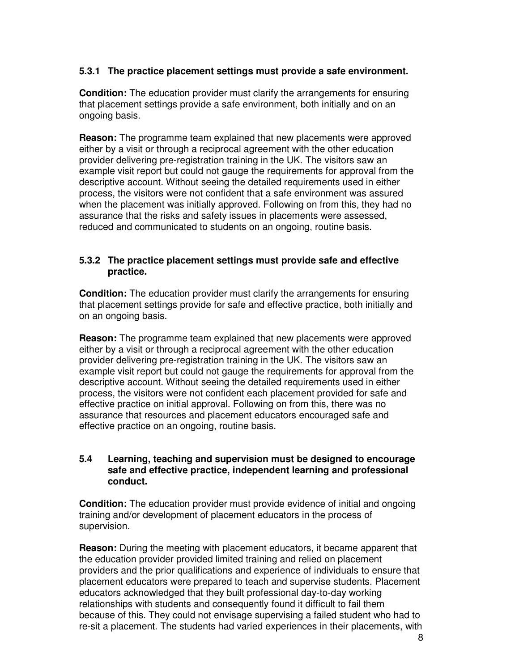#### **5.3.1 The practice placement settings must provide a safe environment.**

**Condition:** The education provider must clarify the arrangements for ensuring that placement settings provide a safe environment, both initially and on an ongoing basis.

**Reason:** The programme team explained that new placements were approved either by a visit or through a reciprocal agreement with the other education provider delivering pre-registration training in the UK. The visitors saw an example visit report but could not gauge the requirements for approval from the descriptive account. Without seeing the detailed requirements used in either process, the visitors were not confident that a safe environment was assured when the placement was initially approved. Following on from this, they had no assurance that the risks and safety issues in placements were assessed, reduced and communicated to students on an ongoing, routine basis.

#### **5.3.2 The practice placement settings must provide safe and effective practice.**

**Condition:** The education provider must clarify the arrangements for ensuring that placement settings provide for safe and effective practice, both initially and on an ongoing basis.

**Reason:** The programme team explained that new placements were approved either by a visit or through a reciprocal agreement with the other education provider delivering pre-registration training in the UK. The visitors saw an example visit report but could not gauge the requirements for approval from the descriptive account. Without seeing the detailed requirements used in either process, the visitors were not confident each placement provided for safe and effective practice on initial approval. Following on from this, there was no assurance that resources and placement educators encouraged safe and effective practice on an ongoing, routine basis.

#### **5.4 Learning, teaching and supervision must be designed to encourage safe and effective practice, independent learning and professional conduct.**

**Condition:** The education provider must provide evidence of initial and ongoing training and/or development of placement educators in the process of supervision.

**Reason:** During the meeting with placement educators, it became apparent that the education provider provided limited training and relied on placement providers and the prior qualifications and experience of individuals to ensure that placement educators were prepared to teach and supervise students. Placement educators acknowledged that they built professional day-to-day working relationships with students and consequently found it difficult to fail them because of this. They could not envisage supervising a failed student who had to re-sit a placement. The students had varied experiences in their placements, with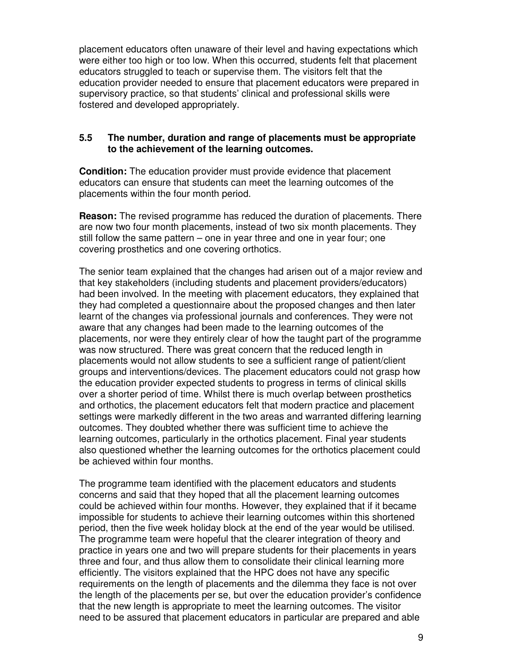placement educators often unaware of their level and having expectations which were either too high or too low. When this occurred, students felt that placement educators struggled to teach or supervise them. The visitors felt that the education provider needed to ensure that placement educators were prepared in supervisory practice, so that students' clinical and professional skills were fostered and developed appropriately.

#### **5.5 The number, duration and range of placements must be appropriate to the achievement of the learning outcomes.**

**Condition:** The education provider must provide evidence that placement educators can ensure that students can meet the learning outcomes of the placements within the four month period.

**Reason:** The revised programme has reduced the duration of placements. There are now two four month placements, instead of two six month placements. They still follow the same pattern – one in year three and one in year four; one covering prosthetics and one covering orthotics.

The senior team explained that the changes had arisen out of a major review and that key stakeholders (including students and placement providers/educators) had been involved. In the meeting with placement educators, they explained that they had completed a questionnaire about the proposed changes and then later learnt of the changes via professional journals and conferences. They were not aware that any changes had been made to the learning outcomes of the placements, nor were they entirely clear of how the taught part of the programme was now structured. There was great concern that the reduced length in placements would not allow students to see a sufficient range of patient/client groups and interventions/devices. The placement educators could not grasp how the education provider expected students to progress in terms of clinical skills over a shorter period of time. Whilst there is much overlap between prosthetics and orthotics, the placement educators felt that modern practice and placement settings were markedly different in the two areas and warranted differing learning outcomes. They doubted whether there was sufficient time to achieve the learning outcomes, particularly in the orthotics placement. Final year students also questioned whether the learning outcomes for the orthotics placement could be achieved within four months.

The programme team identified with the placement educators and students concerns and said that they hoped that all the placement learning outcomes could be achieved within four months. However, they explained that if it became impossible for students to achieve their learning outcomes within this shortened period, then the five week holiday block at the end of the year would be utilised. The programme team were hopeful that the clearer integration of theory and practice in years one and two will prepare students for their placements in years three and four, and thus allow them to consolidate their clinical learning more efficiently. The visitors explained that the HPC does not have any specific requirements on the length of placements and the dilemma they face is not over the length of the placements per se, but over the education provider's confidence that the new length is appropriate to meet the learning outcomes. The visitor need to be assured that placement educators in particular are prepared and able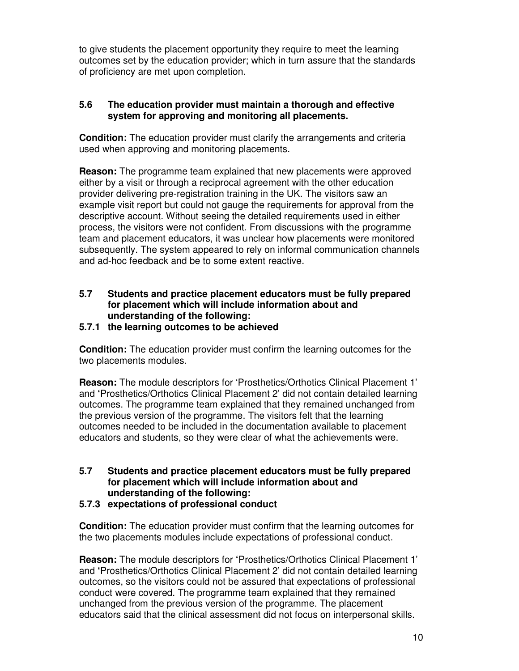to give students the placement opportunity they require to meet the learning outcomes set by the education provider; which in turn assure that the standards of proficiency are met upon completion.

#### **5.6 The education provider must maintain a thorough and effective system for approving and monitoring all placements.**

**Condition:** The education provider must clarify the arrangements and criteria used when approving and monitoring placements.

**Reason:** The programme team explained that new placements were approved either by a visit or through a reciprocal agreement with the other education provider delivering pre-registration training in the UK. The visitors saw an example visit report but could not gauge the requirements for approval from the descriptive account. Without seeing the detailed requirements used in either process, the visitors were not confident. From discussions with the programme team and placement educators, it was unclear how placements were monitored subsequently. The system appeared to rely on informal communication channels and ad-hoc feedback and be to some extent reactive.

#### **5.7 Students and practice placement educators must be fully prepared for placement which will include information about and understanding of the following:**

#### **5.7.1 the learning outcomes to be achieved**

**Condition:** The education provider must confirm the learning outcomes for the two placements modules.

**Reason:** The module descriptors for 'Prosthetics/Orthotics Clinical Placement 1' and **'**Prosthetics/Orthotics Clinical Placement 2' did not contain detailed learning outcomes. The programme team explained that they remained unchanged from the previous version of the programme. The visitors felt that the learning outcomes needed to be included in the documentation available to placement educators and students, so they were clear of what the achievements were.

#### **5.7 Students and practice placement educators must be fully prepared for placement which will include information about and understanding of the following:**

**5.7.3 expectations of professional conduct** 

**Condition:** The education provider must confirm that the learning outcomes for the two placements modules include expectations of professional conduct.

**Reason:** The module descriptors for **'**Prosthetics/Orthotics Clinical Placement 1' and **'**Prosthetics/Orthotics Clinical Placement 2' did not contain detailed learning outcomes, so the visitors could not be assured that expectations of professional conduct were covered. The programme team explained that they remained unchanged from the previous version of the programme. The placement educators said that the clinical assessment did not focus on interpersonal skills.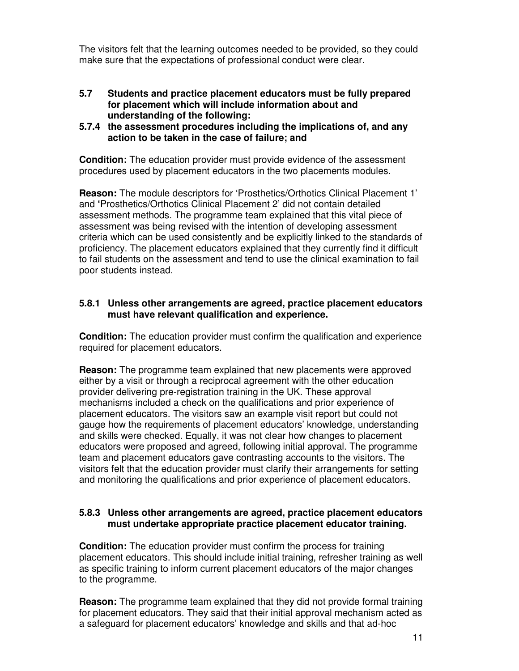The visitors felt that the learning outcomes needed to be provided, so they could make sure that the expectations of professional conduct were clear.

- **5.7 Students and practice placement educators must be fully prepared for placement which will include information about and understanding of the following:**
- **5.7.4 the assessment procedures including the implications of, and any action to be taken in the case of failure; and**

**Condition:** The education provider must provide evidence of the assessment procedures used by placement educators in the two placements modules.

**Reason:** The module descriptors for 'Prosthetics/Orthotics Clinical Placement 1' and **'**Prosthetics/Orthotics Clinical Placement 2' did not contain detailed assessment methods. The programme team explained that this vital piece of assessment was being revised with the intention of developing assessment criteria which can be used consistently and be explicitly linked to the standards of proficiency. The placement educators explained that they currently find it difficult to fail students on the assessment and tend to use the clinical examination to fail poor students instead.

#### **5.8.1 Unless other arrangements are agreed, practice placement educators must have relevant qualification and experience.**

**Condition:** The education provider must confirm the qualification and experience required for placement educators.

**Reason:** The programme team explained that new placements were approved either by a visit or through a reciprocal agreement with the other education provider delivering pre-registration training in the UK. These approval mechanisms included a check on the qualifications and prior experience of placement educators. The visitors saw an example visit report but could not gauge how the requirements of placement educators' knowledge, understanding and skills were checked. Equally, it was not clear how changes to placement educators were proposed and agreed, following initial approval. The programme team and placement educators gave contrasting accounts to the visitors. The visitors felt that the education provider must clarify their arrangements for setting and monitoring the qualifications and prior experience of placement educators.

#### **5.8.3 Unless other arrangements are agreed, practice placement educators must undertake appropriate practice placement educator training.**

**Condition:** The education provider must confirm the process for training placement educators. This should include initial training, refresher training as well as specific training to inform current placement educators of the major changes to the programme.

**Reason:** The programme team explained that they did not provide formal training for placement educators. They said that their initial approval mechanism acted as a safeguard for placement educators' knowledge and skills and that ad-hoc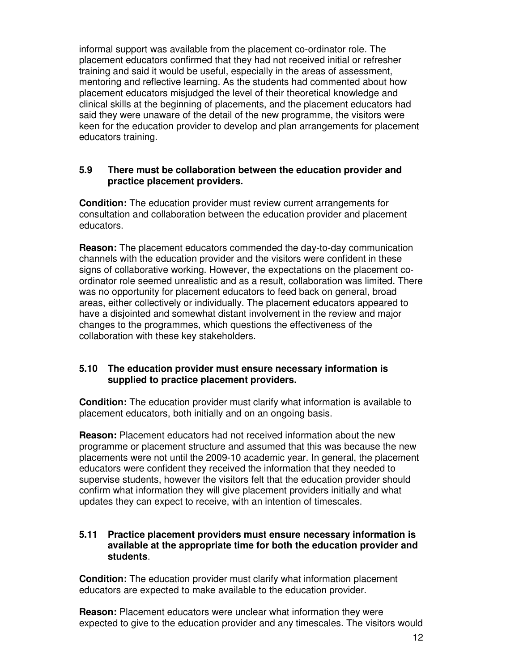informal support was available from the placement co-ordinator role. The placement educators confirmed that they had not received initial or refresher training and said it would be useful, especially in the areas of assessment, mentoring and reflective learning. As the students had commented about how placement educators misjudged the level of their theoretical knowledge and clinical skills at the beginning of placements, and the placement educators had said they were unaware of the detail of the new programme, the visitors were keen for the education provider to develop and plan arrangements for placement educators training.

#### **5.9 There must be collaboration between the education provider and practice placement providers.**

**Condition:** The education provider must review current arrangements for consultation and collaboration between the education provider and placement educators.

**Reason:** The placement educators commended the day-to-day communication channels with the education provider and the visitors were confident in these signs of collaborative working. However, the expectations on the placement coordinator role seemed unrealistic and as a result, collaboration was limited. There was no opportunity for placement educators to feed back on general, broad areas, either collectively or individually. The placement educators appeared to have a disjointed and somewhat distant involvement in the review and major changes to the programmes, which questions the effectiveness of the collaboration with these key stakeholders.

#### **5.10 The education provider must ensure necessary information is supplied to practice placement providers.**

**Condition:** The education provider must clarify what information is available to placement educators, both initially and on an ongoing basis.

**Reason:** Placement educators had not received information about the new programme or placement structure and assumed that this was because the new placements were not until the 2009-10 academic year. In general, the placement educators were confident they received the information that they needed to supervise students, however the visitors felt that the education provider should confirm what information they will give placement providers initially and what updates they can expect to receive, with an intention of timescales.

#### **5.11 Practice placement providers must ensure necessary information is available at the appropriate time for both the education provider and students**.

**Condition:** The education provider must clarify what information placement educators are expected to make available to the education provider.

**Reason:** Placement educators were unclear what information they were expected to give to the education provider and any timescales. The visitors would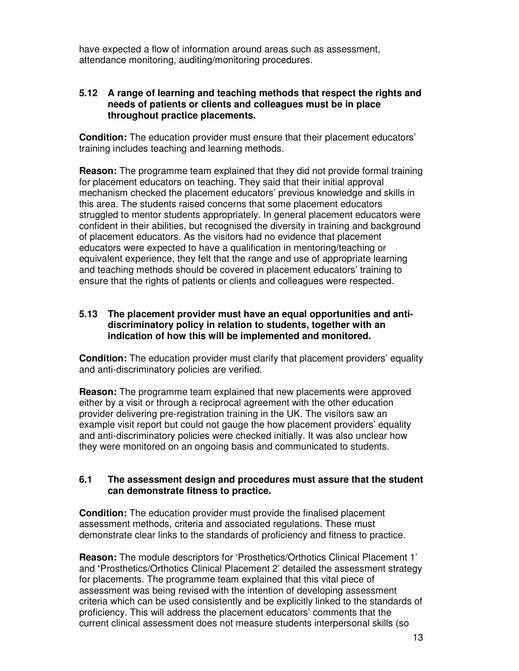have expected a flow of information around areas such as assessment, attendance monitoring, auditing/monitoring procedures.

#### **5.12 A range of learning and teaching methods that respect the rights and needs of patients or clients and colleagues must be in place throughout practice placements.**

**Condition:** The education provider must ensure that their placement educators' training includes teaching and learning methods.

**Reason:** The programme team explained that they did not provide formal training for placement educators on teaching. They said that their initial approval mechanism checked the placement educators' previous knowledge and skills in this area. The students raised concerns that some placement educators struggled to mentor students appropriately. In general placement educators were confident in their abilities, but recognised the diversity in training and background of placement educators. As the visitors had no evidence that placement educators were expected to have a qualification in mentoring/teaching or equivalent experience, they felt that the range and use of appropriate learning and teaching methods should be covered in placement educators' training to ensure that the rights of patients or clients and colleagues were respected.

#### **5.13 The placement provider must have an equal opportunities and antidiscriminatory policy in relation to students, together with an indication of how this will be implemented and monitored.**

**Condition:** The education provider must clarify that placement providers' equality and anti-discriminatory policies are verified.

**Reason:** The programme team explained that new placements were approved either by a visit or through a reciprocal agreement with the other education provider delivering pre-registration training in the UK. The visitors saw an example visit report but could not gauge the how placement providers' equality and anti-discriminatory policies were checked initially. It was also unclear how they were monitored on an ongoing basis and communicated to students.

#### **6.1 The assessment design and procedures must assure that the student can demonstrate fitness to practice.**

**Condition:** The education provider must provide the finalised placement assessment methods, criteria and associated regulations. These must demonstrate clear links to the standards of proficiency and fitness to practice.

**Reason:** The module descriptors for 'Prosthetics/Orthotics Clinical Placement 1' and **'**Prosthetics/Orthotics Clinical Placement 2' detailed the assessment strategy for placements. The programme team explained that this vital piece of assessment was being revised with the intention of developing assessment criteria which can be used consistently and be explicitly linked to the standards of proficiency. This will address the placement educators' comments that the current clinical assessment does not measure students interpersonal skills (so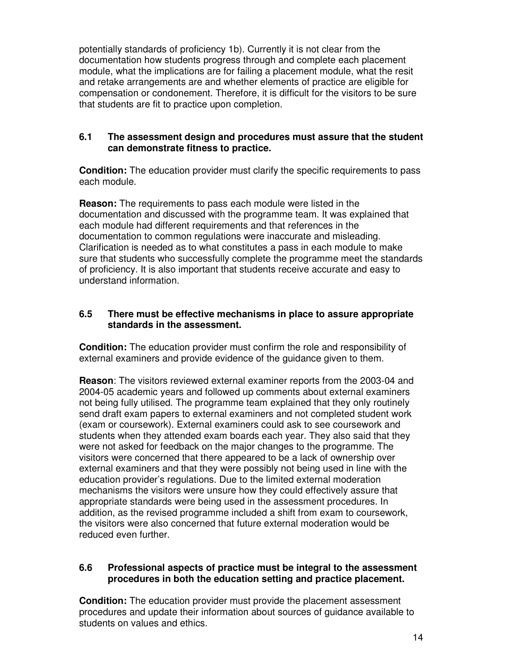potentially standards of proficiency 1b). Currently it is not clear from the documentation how students progress through and complete each placement module, what the implications are for failing a placement module, what the resit and retake arrangements are and whether elements of practice are eligible for compensation or condonement. Therefore, it is difficult for the visitors to be sure that students are fit to practice upon completion.

#### **6.1 The assessment design and procedures must assure that the student can demonstrate fitness to practice.**

**Condition:** The education provider must clarify the specific requirements to pass each module.

**Reason:** The requirements to pass each module were listed in the documentation and discussed with the programme team. It was explained that each module had different requirements and that references in the documentation to common regulations were inaccurate and misleading. Clarification is needed as to what constitutes a pass in each module to make sure that students who successfully complete the programme meet the standards of proficiency. It is also important that students receive accurate and easy to understand information.

#### **6.5 There must be effective mechanisms in place to assure appropriate standards in the assessment.**

**Condition:** The education provider must confirm the role and responsibility of external examiners and provide evidence of the guidance given to them.

**Reason**: The visitors reviewed external examiner reports from the 2003-04 and 2004-05 academic years and followed up comments about external examiners not being fully utilised. The programme team explained that they only routinely send draft exam papers to external examiners and not completed student work (exam or coursework). External examiners could ask to see coursework and students when they attended exam boards each year. They also said that they were not asked for feedback on the major changes to the programme. The visitors were concerned that there appeared to be a lack of ownership over external examiners and that they were possibly not being used in line with the education provider's regulations. Due to the limited external moderation mechanisms the visitors were unsure how they could effectively assure that appropriate standards were being used in the assessment procedures. In addition, as the revised programme included a shift from exam to coursework, the visitors were also concerned that future external moderation would be reduced even further.

#### **6.6 Professional aspects of practice must be integral to the assessment procedures in both the education setting and practice placement.**

**Condition:** The education provider must provide the placement assessment procedures and update their information about sources of guidance available to students on values and ethics.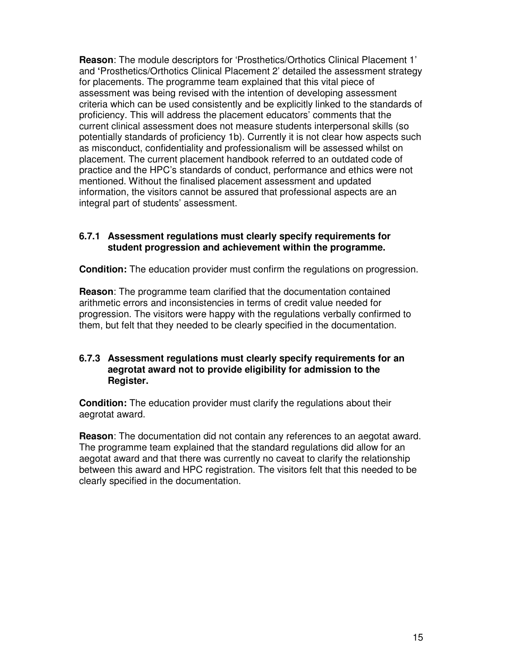**Reason**: The module descriptors for 'Prosthetics/Orthotics Clinical Placement 1' and **'**Prosthetics/Orthotics Clinical Placement 2' detailed the assessment strategy for placements. The programme team explained that this vital piece of assessment was being revised with the intention of developing assessment criteria which can be used consistently and be explicitly linked to the standards of proficiency. This will address the placement educators' comments that the current clinical assessment does not measure students interpersonal skills (so potentially standards of proficiency 1b). Currently it is not clear how aspects such as misconduct, confidentiality and professionalism will be assessed whilst on placement. The current placement handbook referred to an outdated code of practice and the HPC's standards of conduct, performance and ethics were not mentioned. Without the finalised placement assessment and updated information, the visitors cannot be assured that professional aspects are an integral part of students' assessment.

#### **6.7.1 Assessment regulations must clearly specify requirements for student progression and achievement within the programme.**

**Condition:** The education provider must confirm the regulations on progression.

**Reason**: The programme team clarified that the documentation contained arithmetic errors and inconsistencies in terms of credit value needed for progression. The visitors were happy with the regulations verbally confirmed to them, but felt that they needed to be clearly specified in the documentation.

#### **6.7.3 Assessment regulations must clearly specify requirements for an aegrotat award not to provide eligibility for admission to the Register.**

**Condition:** The education provider must clarify the regulations about their aegrotat award.

**Reason**: The documentation did not contain any references to an aegotat award. The programme team explained that the standard regulations did allow for an aegotat award and that there was currently no caveat to clarify the relationship between this award and HPC registration. The visitors felt that this needed to be clearly specified in the documentation.